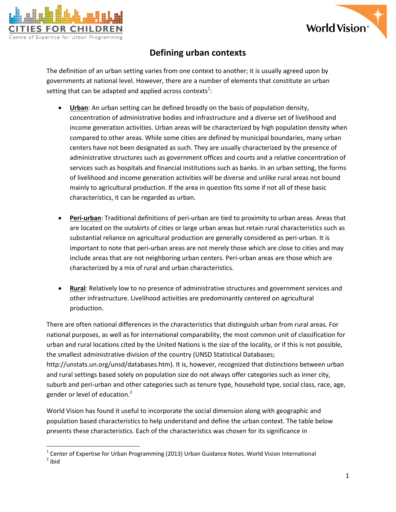



## **Defining urban contexts**

The definition of an urban setting varies from one context to another; it is usually agreed upon by governments at national level. However, there are a number of elements that constitute an urban setting that can be adapted and applied across contexts<sup>1</sup>:

- **Urban**: An urban setting can be defined broadly on the basis of population density, concentration of administrative bodies and infrastructure and a diverse set of livelihood and income generation activities. Urban areas will be characterized by high population density when compared to other areas. While some cities are defined by municipal boundaries, many urban centers have not been designated as such. They are usually characterized by the presence of administrative structures such as government offices and courts and a relative concentration of services such as hospitals and financial institutions such as banks. In an urban setting, the forms of livelihood and income generation activities will be diverse and unlike rural areas not bound mainly to agricultural production. If the area in question fits some if not all of these basic characteristics, it can be regarded as urban.
- **Peri-urban**: Traditional definitions of peri-urban are tied to proximity to urban areas. Areas that are located on the outskirts of cities or large urban areas but retain rural characteristics such as substantial reliance on agricultural production are generally considered as peri-urban. It is important to note that peri-urban areas are not merely those which are close to cities and may include areas that are not neighboring urban centers. Peri-urban areas are those which are characterized by a mix of rural and urban characteristics.
- **Rural**: Relatively low to no presence of administrative structures and government services and other infrastructure. Livelihood activities are predominantly centered on agricultural production.

There are often national differences in the characteristics that distinguish urban from rural areas. For national purposes, as well as for international comparability, the most common unit of classification for urban and rural locations cited by the United Nations is the size of the locality, or if this is not possible, the smallest administrative division of the country (UNSD Statistical Databases; [http://unstats.un.org/unsd/databases.htm\)](http://unstats.un.org/unsd/databases.htm). It is, however, recognized that distinctions between urban and rural settings based solely on population size do not always offer categories such as inner city, suburb and peri-urban and other categories such as tenure type, household type, social class, race, age, gender or level of education.<sup>2</sup>

World Vision has found it useful to incorporate the social dimension along with geographic and population based characteristics to help understand and define the urban context. The table below presents these characteristics. Each of the characteristics was chosen for its significance in

l  $^{1}$  Center of Expertise for Urban Programming (2013) Urban Guidance Notes. World Vision International <sup>2</sup> ibid